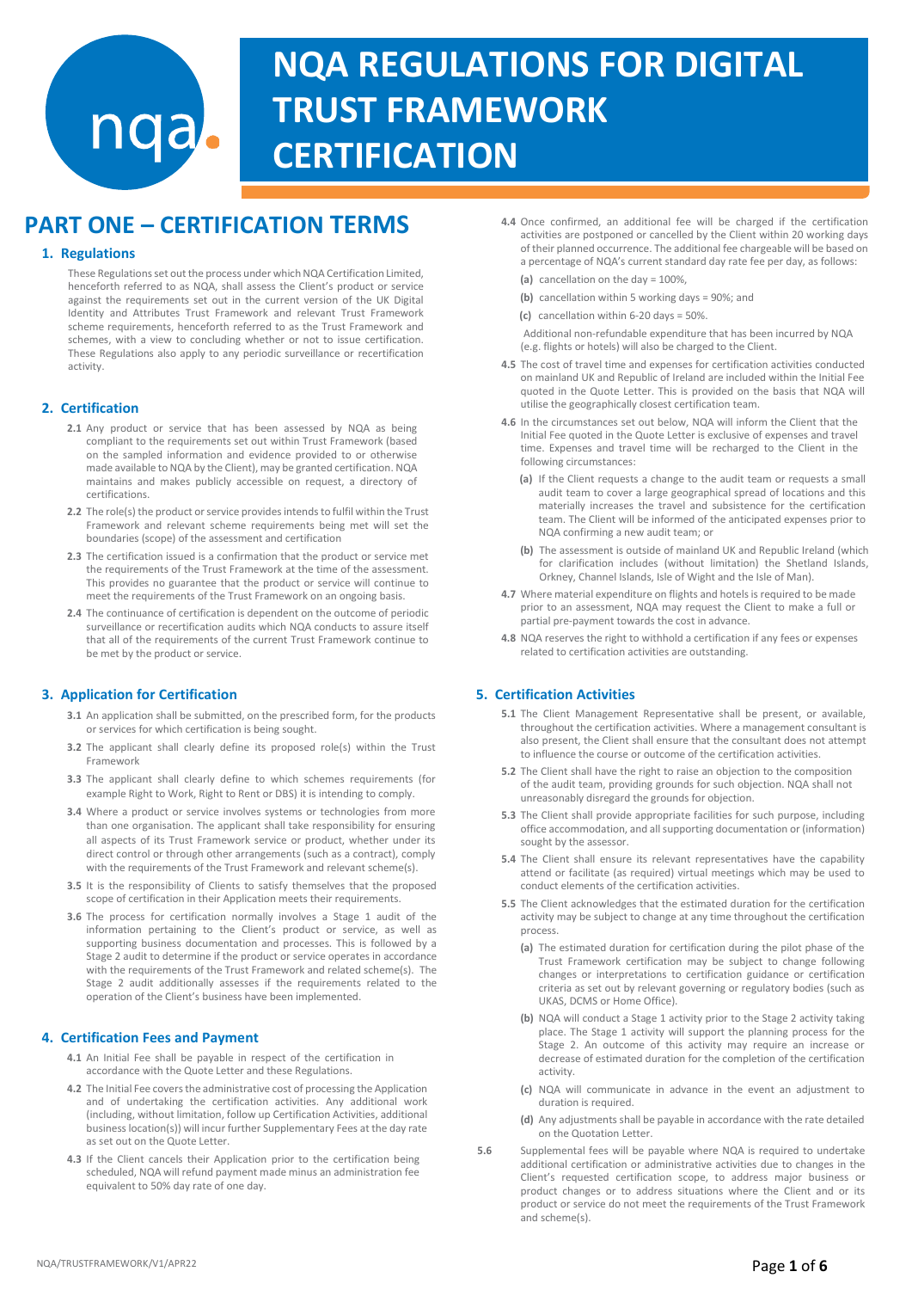# **NQA REGULATIONS FOR DIGITAL TRUST FRAMEWORK CERTIFICATION**

## **PART ONE – CERTIFICATION TERMS**

nqa.

## **1. Regulations**

These Regulations set out the process under which NQA Certification Limited, henceforth referred to as NQA, shall assess the Client's product or service against the requirements set out in the current version of the UK Digital Identity and Attributes Trust Framework and relevant Trust Framework scheme requirements, henceforth referred to as the Trust Framework and schemes, with a view to concluding whether or not to issue certification. These Regulations also apply to any periodic surveillance or recertification activity.

## **2. Certification**

- **2.1** Any product or service that has been assessed by NQA as being compliant to the requirements set out within Trust Framework (based on the sampled information and evidence provided to or otherwise made available to NQA by the Client), may be granted certification. NQA maintains and makes publicly accessible on request, a directory of certifications.
- **2.2** The role(s) the product or service provides intends to fulfil within the Trust Framework and relevant scheme requirements being met will set the boundaries (scope) of the assessment and certification
- **2.3** The certification issued is a confirmation that the product or service met the requirements of the Trust Framework at the time of the assessment. This provides no guarantee that the product or service will continue to meet the requirements of the Trust Framework on an ongoing basis.
- **2.4** The continuance of certification is dependent on the outcome of periodic surveillance or recertification audits which NQA conducts to assure itself that all of the requirements of the current Trust Framework continue to be met by the product or service.

## **3. Application for Certification**

- **3.1** An application shall be submitted, on the prescribed form, for the products or services for which certification is being sought.
- **3.2** The applicant shall clearly define its proposed role(s) within the Trust Framework
- **3.3** The applicant shall clearly define to which schemes requirements (for example Right to Work, Right to Rent or DBS) it is intending to comply.
- **3.4** Where a product or service involves systems or technologies from more than one organisation. The applicant shall take responsibility for ensuring all aspects of its Trust Framework service or product, whether under its direct control or through other arrangements (such as a contract), comply with the requirements of the Trust Framework and relevant scheme(s).
- **3.5** It is the responsibility of Clients to satisfy themselves that the proposed scope of certification in their Application meets their requirements.
- **3.6** The process for certification normally involves a Stage 1 audit of the information pertaining to the Client's product or service, as well as supporting business documentation and processes. This is followed by a Stage 2 audit to determine if the product or service operates in accordance with the requirements of the Trust Framework and related scheme(s). The Stage 2 audit additionally assesses if the requirements related to the operation of the Client's business have been implemented.

## **4. Certification Fees and Payment**

- **4.1** An Initial Fee shall be payable in respect of the certification in accordance with the Quote Letter and these Regulations.
- **4.2** The Initial Fee covers the administrative cost of processing the Application and of undertaking the certification activities. Any additional work (including, without limitation, follow up Certification Activities, additional business location(s)) will incur further Supplementary Fees at the day rate as set out on the Quote Letter.
- **4.3** If the Client cancels their Application prior to the certification being scheduled, NQA will refund payment made minus an administration fee equivalent to 50% day rate of one day.
- **4.4** Once confirmed, an additional fee will be charged if the certification activities are postponed or cancelled by the Client within 20 working days of their planned occurrence. The additional fee chargeable will be based on a percentage of NQA's current standard day rate fee per day, as follows:
	- **(a)** cancellation on the day = 100%,
	- **(b)** cancellation within 5 working days = 90%; and
	- **(c)** cancellation within 6-20 days = 50%.
	- Additional non-refundable expenditure that has been incurred by NQA (e.g. flights or hotels) will also be charged to the Client.
- **4.5** The cost of travel time and expenses for certification activities conducted on mainland UK and Republic of Ireland are included within the Initial Fee quoted in the Quote Letter. This is provided on the basis that NQA will utilise the geographically closest certification team.
- **4.6** In the circumstances set out below, NQA will inform the Client that the Initial Fee quoted in the Quote Letter is exclusive of expenses and travel time. Expenses and travel time will be recharged to the Client in the following circumstances:
	- **(a)** If the Client requests a change to the audit team or requests a small audit team to cover a large geographical spread of locations and this materially increases the travel and subsistence for the certification team. The Client will be informed of the anticipated expenses prior to NQA confirming a new audit team; or
	- **(b)** The assessment is outside of mainland UK and Republic Ireland (which for clarification includes (without limitation) the Shetland Islands, Orkney, Channel Islands, Isle of Wight and the Isle of Man).
- **4.7** Where material expenditure on flights and hotels is required to be made prior to an assessment, NQA may request the Client to make a full or partial pre-payment towards the cost in advance.
- **4.8** NQA reserves the right to withhold a certification if any fees or expenses related to certification activities are outstanding.

## **5. Certification Activities**

- **5.1** The Client Management Representative shall be present, or available, throughout the certification activities. Where a management consultant is also present, the Client shall ensure that the consultant does not attempt to influence the course or outcome of the certification activities.
- **5.2** The Client shall have the right to raise an objection to the composition of the audit team, providing grounds for such objection. NQA shall not unreasonably disregard the grounds for objection.
- **5.3** The Client shall provide appropriate facilities for such purpose, including office accommodation, and all supporting documentation or (information) sought by the assessor.
- **5.4** The Client shall ensure its relevant representatives have the capability attend or facilitate (as required) virtual meetings which may be used to conduct elements of the certification activities.
- **5.5** The Client acknowledges that the estimated duration for the certification activity may be subject to change at any time throughout the certification process.
	- **(a)** The estimated duration for certification during the pilot phase of the Trust Framework certification may be subject to change following changes or interpretations to certification guidance or certification criteria as set out by relevant governing or regulatory bodies (such as UKAS, DCMS or Home Office).
	- **(b)** NQA will conduct a Stage 1 activity prior to the Stage 2 activity taking place. The Stage 1 activity will support the planning process for the Stage 2. An outcome of this activity may require an increase or decrease of estimated duration for the completion of the certification activity.
	- **(c)** NQA will communicate in advance in the event an adjustment to duration is required.
	- **(d)** Any adjustments shall be payable in accordance with the rate detailed on the Quotation Letter.
- **5.6** Supplemental fees will be payable where NQA is required to undertake additional certification or administrative activities due to changes in the Client's requested certification scope, to address major business or product changes or to address situations where the Client and or its product or service do not meet the requirements of the Trust Framework and scheme(s).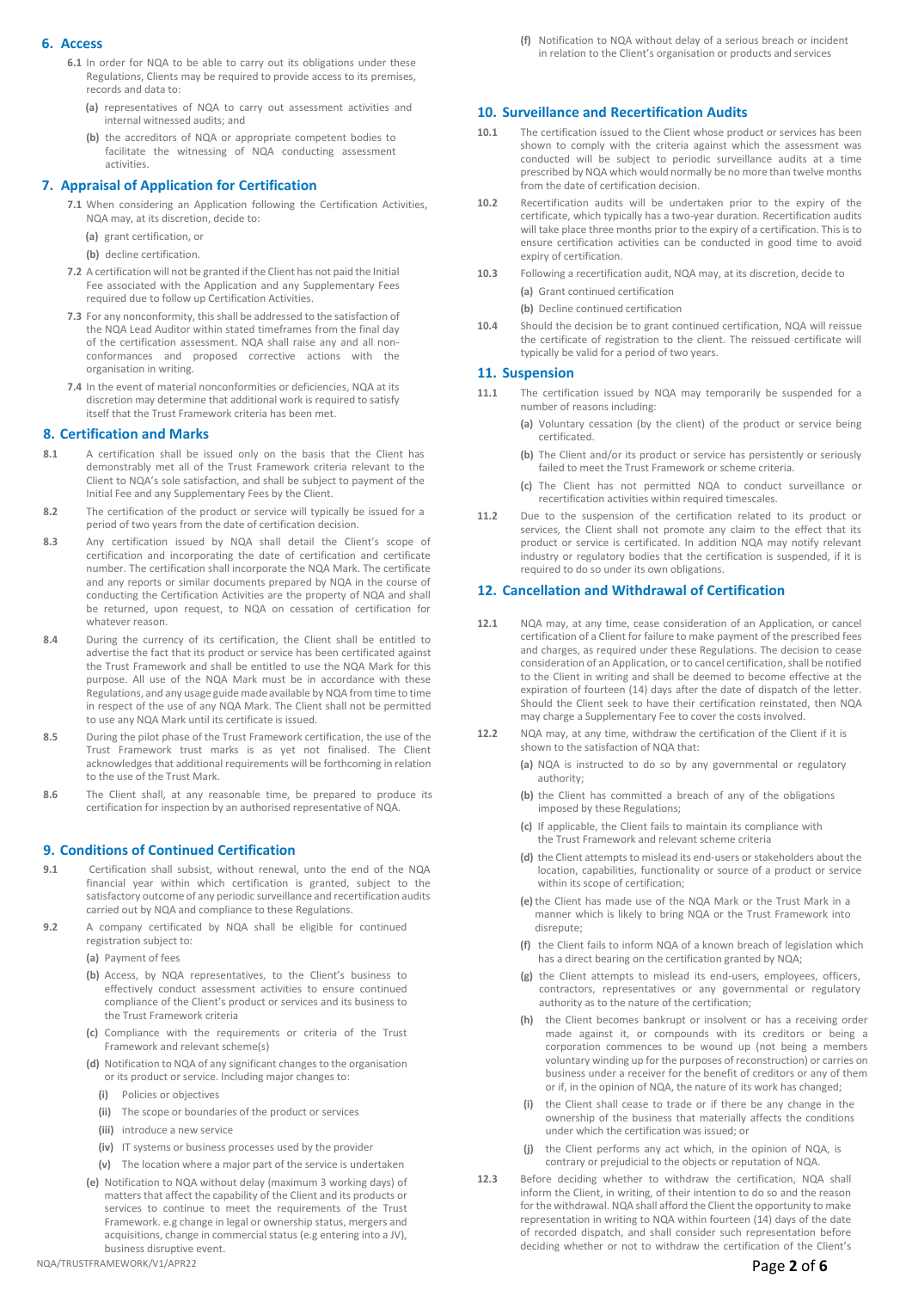## **6. Access**

- **6.1** In order for NQA to be able to carry out its obligations under these Regulations, Clients may be required to provide access to its premises, records and data to:
	- **(a)** representatives of NQA to carry out assessment activities and internal witnessed audits; and
	- **(b)** the accreditors of NQA or appropriate competent bodies to facilitate the witnessing of NQA conducting assessment activities.

## **7. Appraisal of Application for Certification**

- **7.1** When considering an Application following the Certification Activities, NQA may, at its discretion, decide to:
	- **(a)** grant certification, or
	- **(b)** decline certification.
- **7.2** A certification will not be granted if the Client has not paid the Initial Fee associated with the Application and any Supplementary Fees required due to follow up Certification Activities.
- **7.3** For any nonconformity, this shall be addressed to the satisfaction of the NQA Lead Auditor within stated timeframes from the final day of the certification assessment. NQA shall raise any and all nonconformances and proposed corrective actions with the organisation in writing.
- **7.4** In the event of material nonconformities or deficiencies, NQA at its discretion may determine that additional work is required to satisfy itself that the Trust Framework criteria has been met.

## **8. Certification and Marks**

- **8.1** A certification shall be issued only on the basis that the Client has demonstrably met all of the Trust Framework criteria relevant to the Client to NQA's sole satisfaction, and shall be subject to payment of the Initial Fee and any Supplementary Fees by the Client.
- **8.2** The certification of the product or service will typically be issued for a period of two years from the date of certification decision.
- **8.3** Any certification issued by NQA shall detail the Client's scope of certification and incorporating the date of certification and certificate number. The certification shall incorporate the NQA Mark. The certificate and any reports or similar documents prepared by NQA in the course of conducting the Certification Activities are the property of NQA and shall be returned, upon request, to NQA on cessation of certification for whatever reason.
- **8.4** During the currency of its certification, the Client shall be entitled to advertise the fact that its product or service has been certificated against the Trust Framework and shall be entitled to use the NQA Mark for this purpose. All use of the NQA Mark must be in accordance with these Regulations, and any usage guide made available by NQA from time to time in respect of the use of any NQA Mark. The Client shall not be permitted to use any NQA Mark until its certificate is issued.
- **8.5** During the pilot phase of the Trust Framework certification, the use of the Trust Framework trust marks is as yet not finalised. The Client acknowledges that additional requirements will be forthcoming in relation to the use of the Trust Mark.
- **8.6** The Client shall, at any reasonable time, be prepared to produce its certification for inspection by an authorised representative of NQA.

## **9. Conditions of Continued Certification**

- **9.1** Certification shall subsist, without renewal, unto the end of the NQA financial year within which certification is granted, subject to the satisfactory outcome of any periodic surveillance and recertification audits carried out by NQA and compliance to these Regulations.
- **9.2** A company certificated by NQA shall be eligible for continued registration subject to:

**(a)** Payment of fees

- **(b)** Access, by NQA representatives, to the Client's business to effectively conduct assessment activities to ensure continued compliance of the Client's product or services and its business to the Trust Framework criteria
- **(c)** Compliance with the requirements or criteria of the Trust Framework and relevant scheme(s)
- **(d)** Notification to NQA of any significant changes to the organisation or its product or service. Including major changes to:
	- **(i)** Policies or objectives
	- **(ii)** The scope or boundaries of the product or services
	- **(iii)** introduce a new service
	- **(iv)** IT systems or business processes used by the provider
	- **(v)** The location where a major part of the service is undertaken
- **(e)** Notification to NQA without delay (maximum 3 working days) of matters that affect the capability of the Client and its products or services to continue to meet the requirements of the Trust Framework. e.g change in legal or ownership status, mergers and acquisitions, change in commercial status (e.g entering into a JV), business disruptive event.

**(f)** Notification to NQA without delay of a serious breach or incident in relation to the Client's organisation or products and services

## **10. Surveillance and Recertification Audits**

- **10.1** The certification issued to the Client whose product or services has been shown to comply with the criteria against which the assessment was conducted will be subject to periodic surveillance audits at a time prescribed by NQA which would normally be no more than twelve months from the date of certification decision.
- **10.2** Recertification audits will be undertaken prior to the expiry of the certificate, which typically has a two-year duration. Recertification audits will take place three months prior to the expiry of a certification. This is to ensure certification activities can be conducted in good time to avoid expiry of certification.
- **10.3** Following a recertification audit, NQA may, at its discretion, decide to **(a)** Grant continued certification

**(b)** Decline continued certification

**10.4** Should the decision be to grant continued certification, NQA will reissue the certificate of registration to the client. The reissued certificate will typically be valid for a period of two years.

#### **11. Suspension**

- **11.1** The certification issued by NQA may temporarily be suspended for a number of reasons including:
	- **(a)** Voluntary cessation (by the client) of the product or service being certificated.
	- **(b)** The Client and/or its product or service has persistently or seriously failed to meet the Trust Framework or scheme criteria.
	- **(c)** The Client has not permitted NQA to conduct surveillance or recertification activities within required timescales.
- **11.2** Due to the suspension of the certification related to its product or services, the Client shall not promote any claim to the effect that its product or service is certificated. In addition NQA may notify relevant industry or regulatory bodies that the certification is suspended, if it is required to do so under its own obligations.

## **12. Cancellation and Withdrawal of Certification**

- **12.1** NQA may, at any time, cease consideration of an Application, or cancel certification of a Client for failure to make payment of the prescribed fees and charges, as required under these Regulations. The decision to cease consideration of an Application, or to cancel certification, shall be notified to the Client in writing and shall be deemed to become effective at the expiration of fourteen (14) days after the date of dispatch of the letter. Should the Client seek to have their certification reinstated, then NQA may charge a Supplementary Fee to cover the costs involved.
- **12.2** NQA may, at any time, withdraw the certification of the Client if it is shown to the satisfaction of NQA that:
	- **(a)** NQA is instructed to do so by any governmental or regulatory authority;
	- **(b)** the Client has committed a breach of any of the obligations imposed by these Regulations;
	- **(c)** If applicable, the Client fails to maintain its compliance with the Trust Framework and relevant scheme criteria
	- **(d)** the Client attempts to mislead its end-users or stakeholders about the location, capabilities, functionality or source of a product or service within its scope of certification;
	- **(e)**the Client has made use of the NQA Mark or the Trust Mark in a manner which is likely to bring NQA or the Trust Framework into disrepute;
	- **(f)** the Client fails to inform NQA of a known breach of legislation which has a direct bearing on the certification granted by NQA;
	- **(g)** the Client attempts to mislead its end-users, employees, officers, contractors, representatives or any governmental or regulatory authority as to the nature of the certification;
	- **(h)** the Client becomes bankrupt or insolvent or has a receiving order made against it, or compounds with its creditors or being a corporation commences to be wound up (not being a members voluntary winding up for the purposes of reconstruction) or carries on business under a receiver for the benefit of creditors or any of them or if, in the opinion of NQA, the nature of its work has changed;
	- **(i)** the Client shall cease to trade or if there be any change in the ownership of the business that materially affects the conditions under which the certification was issued; or
	- **(j)** the Client performs any act which, in the opinion of NQA, is contrary or prejudicial to the objects or reputation of NQA.
- **12.3** Before deciding whether to withdraw the certification, NQA shall inform the Client, in writing, of their intention to do so and the reason for the withdrawal. NQA shall afford the Client the opportunity to make representation in writing to NQA within fourteen (14) days of the date of recorded dispatch, and shall consider such representation before deciding whether or not to withdraw the certification of the Client's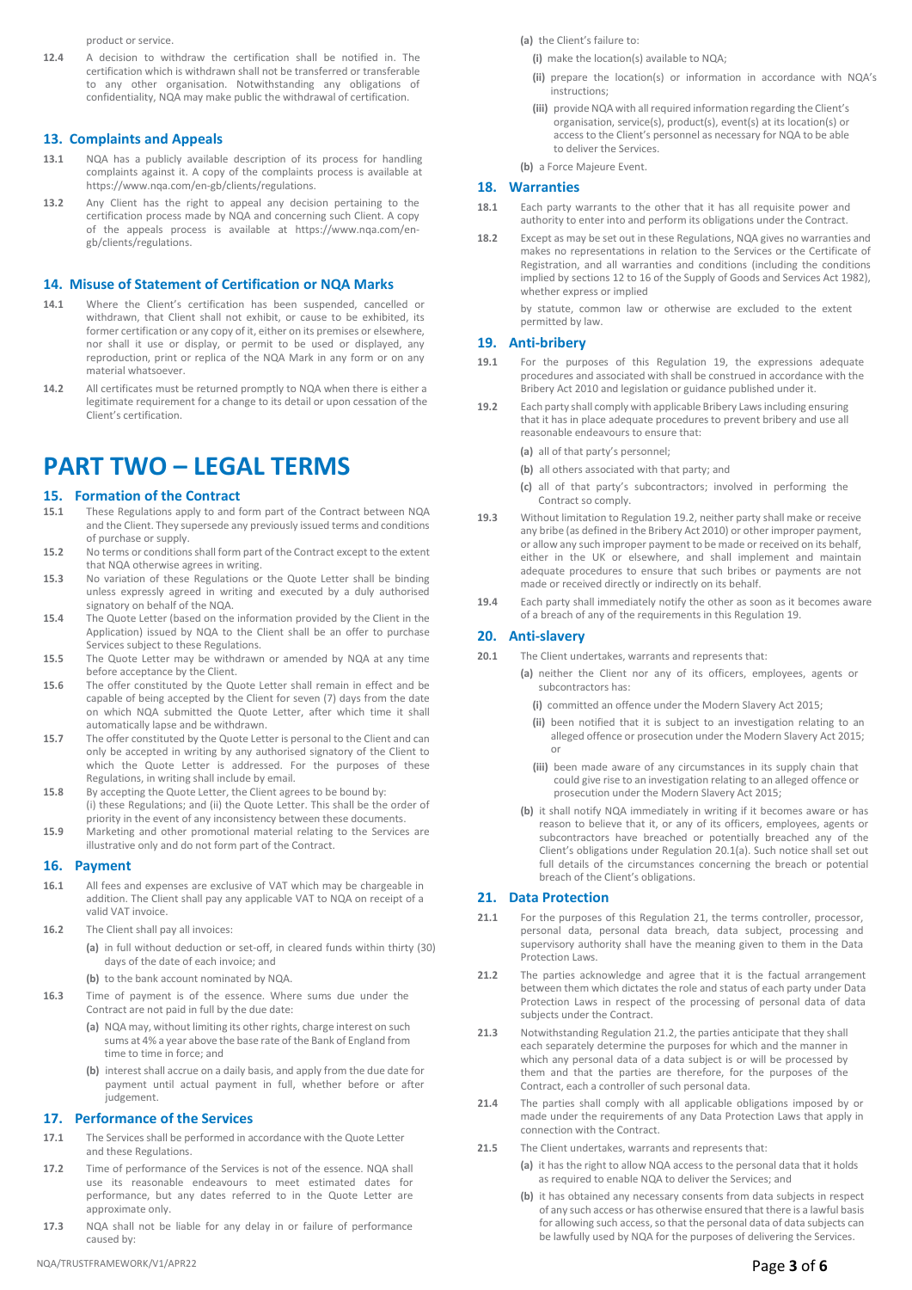product or service.

**12.4** A decision to withdraw the certification shall be notified in. The certification which is withdrawn shall not be transferred or transferable to any other organisation. Notwithstanding any obligations of confidentiality, NQA may make public the withdrawal of certification.

#### **13. Complaints and Appeals**

- **13.1** NQA has a publicly available description of its process for handling complaints against it. A copy of the complaints process is available at [https://www.nqa.com/en-gb/clients/regulations.](http://www.nqa.com/en-gb/clients/regulations)
- **13.2** Any Client has the right to appeal any decision pertaining to the certification process made by NQA and concerning such Client. A copy of the appeals process is available at [https://www.nqa.com/e](http://www.nqa.com/)ngb/clients/regulations.

#### **14. Misuse of Statement of Certification or NQA Marks**

- **14.1** Where the Client's certification has been suspended, cancelled or withdrawn, that Client shall not exhibit, or cause to be exhibited, its former certification or any copy of it, either on its premises or elsewhere, nor shall it use or display, or permit to be used or displayed, any reproduction, print or replica of the NQA Mark in any form or on any material whatsoever.
- **14.2** All certificates must be returned promptly to NQA when there is either a legitimate requirement for a change to its detail or upon cessation of the Client's certification.

## **PART TWO – LEGAL TERMS**

## **15. Formation of the Contract**<br>**15.1** These Regulations apply to and **1**

- **15.1** These Regulations apply to and form part of the Contract between NQA and the Client. They supersede any previously issued terms and conditions of purchase or supply.
- **15.2** No terms or conditions shall form part of the Contract except to the extent that NQA otherwise agrees in writing.
- **15.3** No variation of these Regulations or the Quote Letter shall be binding unless expressly agreed in writing and executed by a duly authorised signatory on behalf of the NQA.
- **15.4** The Quote Letter (based on the information provided by the Client in the Application) issued by NQA to the Client shall be an offer to purchase Services subject to these Regulations.
- **15.5** The Quote Letter may be withdrawn or amended by NQA at any time before acceptance by the Client.
- **15.6** The offer constituted by the Quote Letter shall remain in effect and be capable of being accepted by the Client for seven (7) days from the date on which NQA submitted the Quote Letter, after which time it shall automatically lapse and be withdrawn.
- **15.7** The offer constituted by the Quote Letter is personal to the Client and can only be accepted in writing by any authorised signatory of the Client to which the Quote Letter is addressed. For the purposes of these Regulations, in writing shall include by email.
- **15.8** By accepting the Quote Letter, the Client agrees to be bound by: (i) these Regulations; and (ii) the Quote Letter. This shall be the order of priority in the event of any inconsistency between these documents.
- **15.9** Marketing and other promotional material relating to the Services are illustrative only and do not form part of the Contract.

#### **16. Payment**

- **16.1** All fees and expenses are exclusive of VAT which may be chargeable in addition. The Client shall pay any applicable VAT to NQA on receipt of a valid VAT invoice.
- **16.2** The Client shall pay all invoices:
	- **(a)** in full without deduction or set-off, in cleared funds within thirty (30) days of the date of each invoice; and
	- **(b)** to the bank account nominated by NQA.
- **16.3** Time of payment is of the essence. Where sums due under the Contract are not paid in full by the due date:
	- **(a)** NQA may, without limiting its other rights, charge interest on such sums at 4% a year above the base rate of the Bank of England from time to time in force; and
	- **(b)** interest shall accrue on a daily basis, and apply from the due date for payment until actual payment in full, whether before or after judgement.

## **17. Performance of the Services**

- **17.1** The Services shall be performed in accordance with the Quote Letter and these Regulations.
- **17.2** Time of performance of the Services is not of the essence. NQA shall use its reasonable endeavours to meet estimated dates for performance, but any dates referred to in the Quote Letter are approximate only.
- **17.3** NQA shall not be liable for any delay in or failure of performance caused by:

**(a)** the Client's failure to:

- **(i)** make the location(s) available to NQA;
- **(ii)** prepare the location(s) or information in accordance with NQA's instructions;
- **(iii)** provide NQA with allrequired information regarding the Client's organisation, service(s), product(s), event(s) at its location(s) or access to the Client's personnel as necessary for NQA to be able to deliver the Services.
- **(b)** a Force Majeure Event.

#### **18. Warranties**

- **18.1** Each party warrants to the other that it has all requisite power and authority to enter into and perform its obligations under the Contract.
- **18.2** Except as may be set out in these Regulations, NQA gives no warranties and makes no representations in relation to the Services or the Certificate of Registration, and all warranties and conditions (including the conditions implied by sections 12 to 16 of the Supply of Goods and Services Act 1982), whether express or implied

by statute, common law or otherwise are excluded to the extent permitted by law.

### **19. Anti-bribery**

- **19.1** For the purposes of this Regulation 19, the expressions adequate procedures and associated with shall be construed in accordance with the Bribery Act 2010 and legislation or guidance published under it.
- **19.2** Each party shall comply with applicable Bribery Laws including ensuring that it has in place adequate procedures to prevent bribery and use all reasonable endeavours to ensure that:

**(a)** all of that party's personnel;

- **(b)** all others associated with that party; and
- **(c)** all of that party's subcontractors; involved in performing the Contract so comply.
- **19.3** Without limitation to Regulation 19.2, neither party shall make or receive any bribe (as defined in the Bribery Act 2010) or other improper payment, or allow any such improper payment to be made or received on its behalf, either in the UK or elsewhere, and shall implement and maintain adequate procedures to ensure that such bribes or payments are not made or received directly or indirectly on its behalf.
- **19.4** Each party shall immediately notify the other as soon as it becomes aware of a breach of any of the requirements in this Regulation 19.

#### **20. Anti-slavery**

- **20.1** The Client undertakes, warrants and represents that:
	- **(a)** neither the Client nor any of its officers, employees, agents or subcontractors has:
		- **(i)** committed an offence under the Modern Slavery Act 2015;
		- **(ii)** been notified that it is subject to an investigation relating to an alleged offence or prosecution under the Modern Slavery Act 2015; or
		- **(iii)** been made aware of any circumstances in its supply chain that could give rise to an investigation relating to an alleged offence or prosecution under the Modern Slavery Act 2015;
	- **(b)** it shall notify NQA immediately in writing if it becomes aware or has reason to believe that it, or any of its officers, employees, agents or subcontractors have breached or potentially breached any of the Client's obligations under Regulation 20.1(a). Such notice shall set out full details of the circumstances concerning the breach or potential breach of the Client's obligations.

#### **21. Data Protection**

- **21.1** For the purposes of this Regulation 21, the terms controller, processor, personal data, personal data breach, data subject, processing and supervisory authority shall have the meaning given to them in the Data Protection Laws.
- **21.2** The parties acknowledge and agree that it is the factual arrangement between them which dictates the role and status of each party under Data Protection Laws in respect of the processing of personal data of data subjects under the Contract.
- **21.3** Notwithstanding Regulation 21.2, the parties anticipate that they shall each separately determine the purposes for which and the manner in which any personal data of a data subject is or will be processed by them and that the parties are therefore, for the purposes of the Contract, each a controller of such personal data.
- **21.4** The parties shall comply with all applicable obligations imposed by or made under the requirements of any Data Protection Laws that apply in connection with the Contract.
- **21.5** The Client undertakes, warrants and represents that:
	- **(a)** it has the right to allow NQA access to the personal data that it holds as required to enable NQA to deliver the Services; and
	- **(b)** it has obtained any necessary consents from data subjects in respect of any such access or has otherwise ensured that there is a lawful basis for allowing such access, so that the personal data of data subjects can be lawfully used by NQA for the purposes of delivering the Services.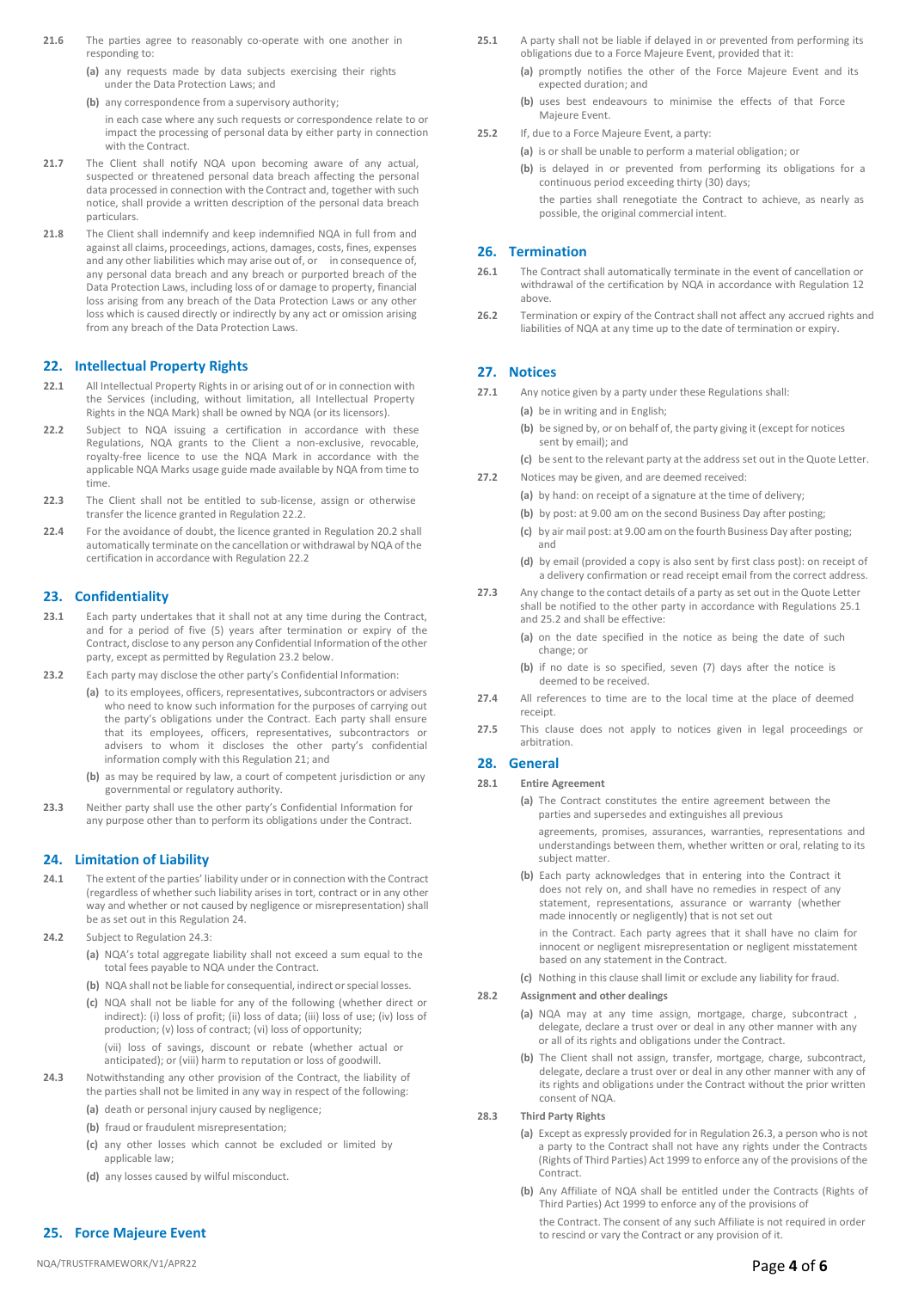- **21.6** The parties agree to reasonably co-operate with one another in responding to:
	- **(a)** any requests made by data subjects exercising their rights under the Data Protection Laws; and
	- **(b)** any correspondence from a supervisory authority; in each case where any such requests or correspondence relate to or impact the processing of personal data by either party in connection
- **21.7** The Client shall notify NQA upon becoming aware of any actual, suspected or threatened personal data breach affecting the personal data processed in connection with the Contract and, together with such notice, shall provide a written description of the personal data breach particulars.
- **21.8** The Client shall indemnify and keep indemnified NQA in full from and against all claims, proceedings, actions, damages, costs, fines, expenses and any other liabilities which may arise out of, or in consequence of, any personal data breach and any breach or purported breach of the Data Protection Laws, including loss of or damage to property, financial loss arising from any breach of the Data Protection Laws or any other loss which is caused directly or indirectly by any act or omission arising from any breach of the Data Protection Laws.

## **22. Intellectual Property Rights**

with the Contract.

- **22.1** All Intellectual Property Rights in or arising out of or in connection with the Services (including, without limitation, all Intellectual Property Rights in the NQA Mark) shall be owned by NQA (or its licensors).
- **22.2** Subject to NQA issuing a certification in accordance with these Regulations, NQA grants to the Client a non-exclusive, revocable, royalty-free licence to use the NQA Mark in accordance with the applicable NQA Marks usage guide made available by NQA from time to time.
- **22.3** The Client shall not be entitled to sub-license, assign or otherwise transfer the licence granted in Regulation 22.2.
- **22.4** For the avoidance of doubt, the licence granted in Regulation 20.2 shall automatically terminate on the cancellation or withdrawal by NQA of the certification in accordance with Regulation 22.2

## **23. Confidentiality**

- **23.1** Each party undertakes that it shall not at any time during the Contract, and for a period of five (5) years after termination or expiry of the Contract, disclose to any person any Confidential Information of the other party, except as permitted by Regulation 23.2 below.
- **23.2** Each party may disclose the other party's Confidential Information:
	- **(a)** to its employees, officers, representatives, subcontractors or advisers who need to know such information for the purposes of carrying out the party's obligations under the Contract. Each party shall ensure that its employees, officers, representatives, subcontractors or advisers to whom it discloses the other party's confidential information comply with this Regulation 21; and
		- **(b)** as may be required by law, a court of competent jurisdiction or any governmental or regulatory authority.
- **23.3** Neither party shall use the other party's Confidential Information for any purpose other than to perform its obligations under the Contract.

#### **24. Limitation of Liability**

- **24.1** The extent of the parties' liability under or in connection with the Contract (regardless of whether such liability arises in tort, contract or in any other way and whether or not caused by negligence or misrepresentation) shall be as set out in this Regulation 24.
- 24.2 Subject to Regulation 24.3
	- **(a)** NQA's total aggregate liability shall not exceed a sum equal to the total fees payable to NQA under the Contract.
	- **(b)** NQA shall not be liable for consequential, indirect or special losses.
	- **(c)** NQA shall not be liable for any of the following (whether direct or indirect): (i) loss of profit; (ii) loss of data; (iii) loss of use; (iv) loss of production; (v) loss of contract; (vi) loss of opportunity; (vii) loss of savings, discount or rebate (whether actual or anticipated); or (viii) harm to reputation or loss of goodwill.
- **24.3** Notwithstanding any other provision of the Contract, the liability of the parties shall not be limited in any way in respect of the following:
	- **(a)** death or personal injury caused by negligence;
	- **(b)** fraud or fraudulent misrepresentation;
	- **(c)** any other losses which cannot be excluded or limited by applicable law;
	- **(d)** any losses caused by wilful misconduct.

#### **25. Force Majeure Event**

- 25.1 A party shall not be liable if delayed in or prevented from performing its obligations due to a Force Majeure Event, provided that it:
	- **(a)** promptly notifies the other of the Force Majeure Event and its expected duration; and
	- **(b)** uses best endeavours to minimise the effects of that Force Majeure Event.
- **25.2** If, due to a Force Majeure Event, a party:
	- **(a)** is or shall be unable to perform a material obligation; or
	- **(b)** is delayed in or prevented from performing its obligations for a continuous period exceeding thirty (30) days;

the parties shall renegotiate the Contract to achieve, as nearly as possible, the original commercial intent.

#### **26. Termination**

- **26.1** The Contract shall automatically terminate in the event of cancellation or withdrawal of the certification by NQA in accordance with Regulation 12 above.
- **26.2** Termination or expiry of the Contract shall not affect any accrued rights and liabilities of NQA at any time up to the date of termination or expiry.

## **27. Notices**

- **27.1** Any notice given by a party under these Regulations shall:
	- **(a)** be in writing and in English;
	- **(b)** be signed by, or on behalf of, the party giving it (except for notices sent by email); and
	- **(c)** be sent to the relevant party at the address set out in the Quote Letter.
- **27.2** Notices may be given, and are deemed received:
	- **(a)** by hand: on receipt of a signature at the time of delivery;
	- **(b)** by post: at 9.00 am on the second Business Day after posting;
	- **(c)** by air mail post: at 9.00 am on the fourth Business Day after posting; and
	- **(d)** by email (provided a copy is also sent by first class post): on receipt of a delivery confirmation or read receipt email from the correct address.
- **27.3** Any change to the contact details of a party as set out in the Quote Letter shall be notified to the other party in accordance with Regulations 25.1 and 25.2 and shall be effective:
	- **(a)** on the date specified in the notice as being the date of such change; or
	- **(b)** if no date is so specified, seven (7) days after the notice is deemed to be received.
- **27.4** All references to time are to the local time at the place of deemed receipt.
- **27.5** This clause does not apply to notices given in legal proceedings or arbitration.

#### **28. General**

#### **28.1 Entire Agreement**

**(a)** The Contract constitutes the entire agreement between the parties and supersedes and extinguishes all previous

agreements, promises, assurances, warranties, representations and understandings between them, whether written or oral, relating to its subject matter.

**(b)** Each party acknowledges that in entering into the Contract it does not rely on, and shall have no remedies in respect of any statement, representations, assurance or warranty (whether made innocently or negligently) that is not set out

in the Contract. Each party agrees that it shall have no claim for innocent or negligent misrepresentation or negligent misstatement based on any statement in the Contract.

**(c)** Nothing in this clause shall limit or exclude any liability for fraud.

### **28.2 Assignment and other dealings**

- **(a)** NQA may at any time assign, mortgage, charge, subcontract , delegate, declare a trust over or deal in any other manner with any or all of its rights and obligations under the Contract.
- **(b)** The Client shall not assign, transfer, mortgage, charge, subcontract, delegate, declare a trust over or deal in any other manner with any of its rights and obligations under the Contract without the prior written consent of NQA.
- **28.3 Third Party Rights**
	- **(a)** Except as expressly provided for in Regulation 26.3, a person who is not a party to the Contract shall not have any rights under the Contracts (Rights of Third Parties) Act 1999 to enforce any of the provisions of the Contract.
	- **(b)** Any Affiliate of NQA shall be entitled under the Contracts (Rights of Third Parties) Act 1999 to enforce any of the provisions of

the Contract. The consent of any such Affiliate is not required in order to rescind or vary the Contract or any provision of it.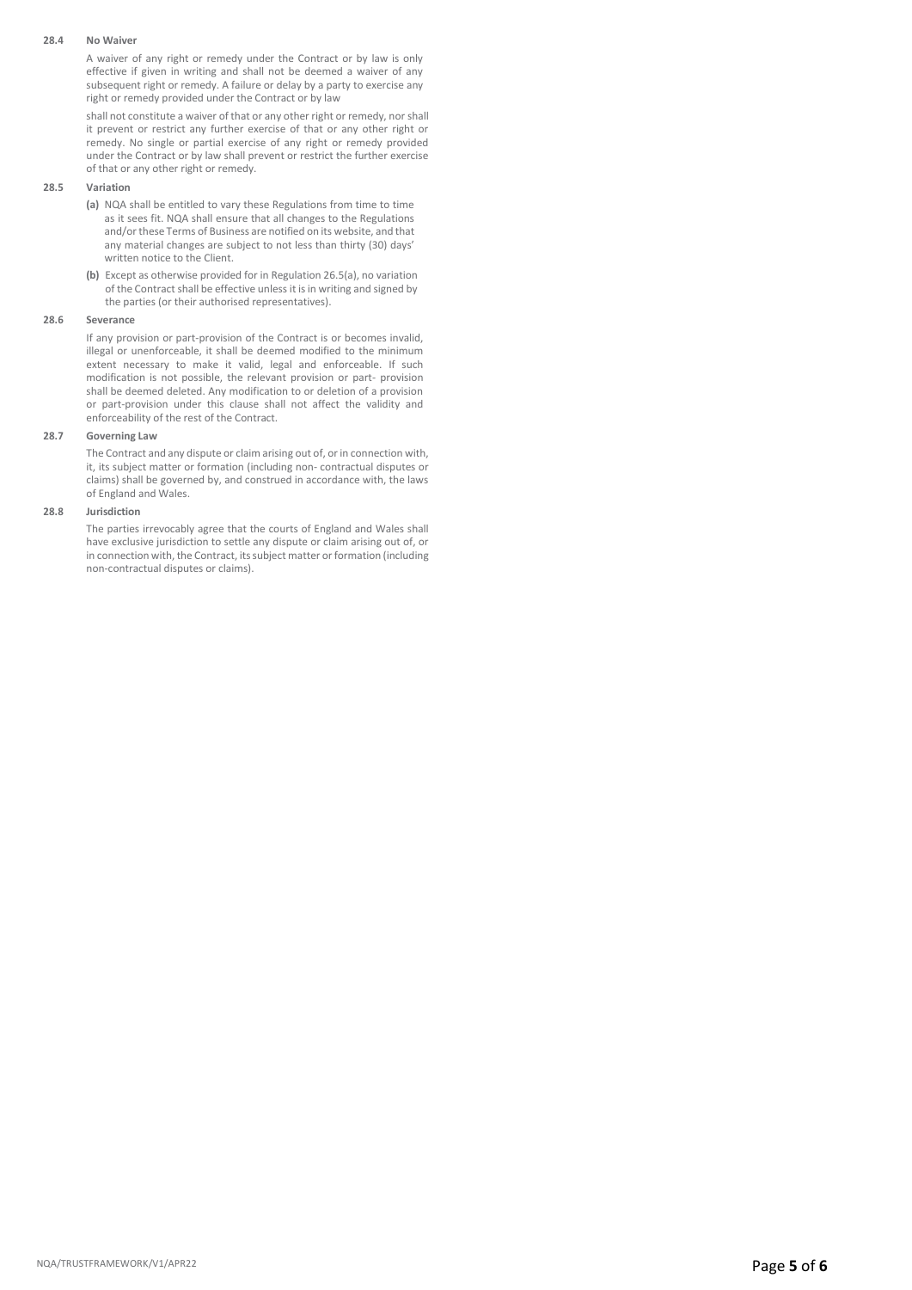#### **28.4 No Waiver**

A waiver of any right or remedy under the Contract or by law is only effective if given in writing and shall not be deemed a waiver of any subsequent right or remedy. A failure or delay by a party to exercise any right or remedy provided under the Contract or by law

shall not constitute a waiver of that or any other right or remedy, nor shall it prevent or restrict any further exercise of that or any other right or remedy. No single or partial exercise of any right or remedy provided under the Contract or by law shall prevent or restrict the further exercise of that or any other right or remedy.

## **28.5 Variation**

- **(a)** NQA shall be entitled to vary these Regulations from time to time as it sees fit. NQA shall ensure that all changes to the Regulations and/or these Terms of Business are notified on its website, and that any material changes are subject to not less than thirty (30) days' written notice to the Client.
- **(b)** Except as otherwise provided for in Regulation 26.5(a), no variation of the Contract shall be effective unless it is in writing and signed by the parties (or their authorised representatives).

## **28.6 Severance**

If any provision or part-provision of the Contract is or becomes invalid, illegal or unenforceable, it shall be deemed modified to the minimum extent necessary to make it valid, legal and enforceable. If such modification is not possible, the relevant provision or part- provision shall be deemed deleted. Any modification to or deletion of a provision or part-provision under this clause shall not affect the validity and enforceability of the rest of the Contract.

## **28.7 Governing Law**

The Contract and any dispute or claim arising out of, or in connection with, it, its subject matter or formation (including non- contractual disputes or claims) shall be governed by, and construed in accordance with, the laws of England and Wales.

## **28.8 Jurisdiction**

The parties irrevocably agree that the courts of England and Wales shall have exclusive jurisdiction to settle any dispute or claim arising out of, or in connection with, the Contract, its subject matter or formation (including non-contractual disputes or claims).